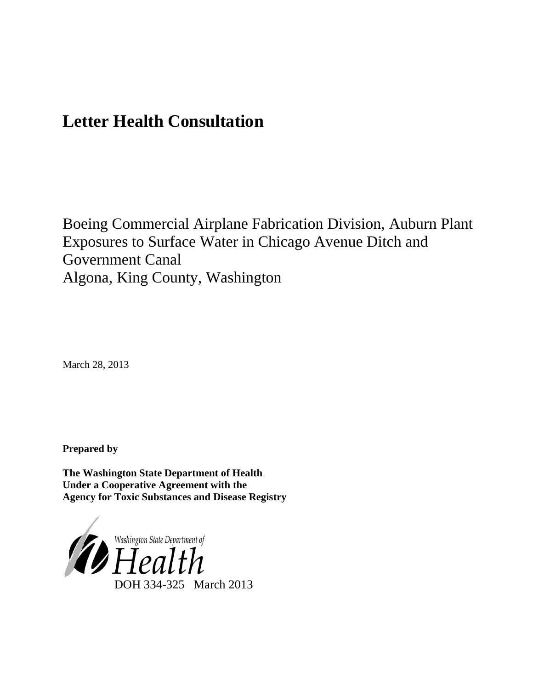# **Letter Health Consultation**

Boeing Commercial Airplane Fabrication Division, Auburn Plant Exposures to Surface Water in Chicago Avenue Ditch and Government Canal Algona, King County, Washington

March 28, 2013

**Prepared by**

**The Washington State Department of Health Under a Cooperative Agreement with the Agency for Toxic Substances and Disease Registry**

<span id="page-0-0"></span>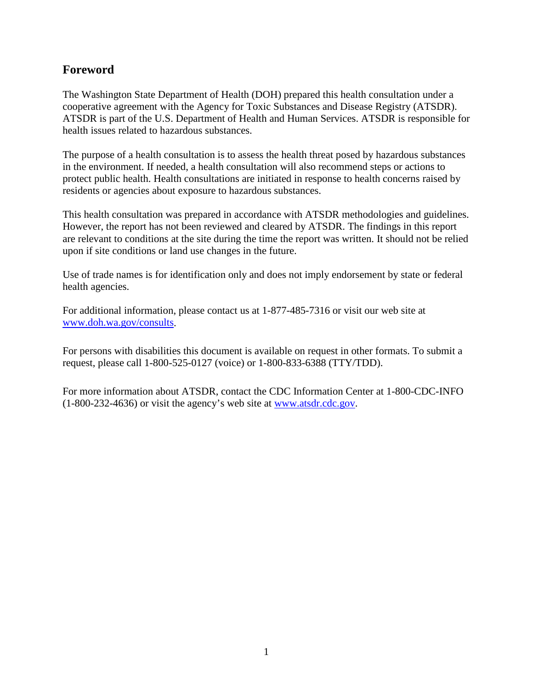## **Foreword**

The Washington State Department of Health (DOH) prepared this health consultation under a cooperative agreement with the Agency for Toxic Substances and Disease Registry (ATSDR). ATSDR is part of the U.S. Department of Health and Human Services. ATSDR is responsible for health issues related to hazardous substances.

The purpose of a health consultation is to assess the health threat posed by hazardous substances in the environment. If needed, a health consultation will also recommend steps or actions to protect public health. Health consultations are initiated in response to health concerns raised by residents or agencies about exposure to hazardous substances.

This health consultation was prepared in accordance with ATSDR methodologies and guidelines. However, the report has not been reviewed and cleared by ATSDR. The findings in this report are relevant to conditions at the site during the time the report was written. It should not be relied upon if site conditions or land use changes in the future.

Use of trade names is for identification only and does not imply endorsement by state or federal health agencies.

For additional information, please contact us at 1-877-485-7316 or visit our web site at [www.doh.wa.gov/consults.](http://www.doh.wa.gov/consults)

For persons with disabilities this document is available on request in other formats. To submit a request, please call 1-800-525-0127 (voice) or 1-800-833-6388 (TTY/TDD).

For more information about ATSDR, contact the CDC Information Center at 1-800-CDC-INFO (1-800-232-4636) or visit the agency's web site at [www.atsdr.cdc.gov.](http://www.atsdr.cdc.gov/)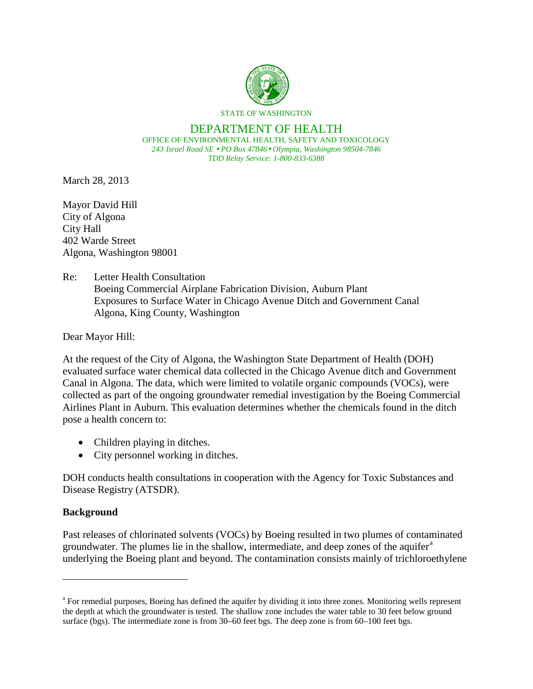

#### DEPARTMENT OF HEALTH OFFICE OF ENVIRONMENTAL HEALTH, SAFETY AND TOXICOLOGY

*243 Israel Road SE PO Box 47846 Olympia, Washington 98504-7846 TDD Relay Service: 1-800-833-6388*

March 28, 2013

Mayor David Hill City of Algona City Hall 402 Warde Street Algona, Washington 98001

#### Re: Letter Health Consultation

Boeing Commercial Airplane Fabrication Division, Auburn Plant Exposures to Surface Water in Chicago Avenue Ditch and Government Canal Algona, King County, Washington

Dear Mayor Hill:

At the request of the City of Algona, the Washington State Department of Health (DOH) evaluated surface water chemical data collected in the Chicago Avenue ditch and Government Canal in Algona. The data, which were limited to volatile organic compounds (VOCs), were collected as part of the ongoing groundwater remedial investigation by the Boeing Commercial Airlines Plant in Auburn. This evaluation determines whether the chemicals found in the ditch pose a health concern to:

- Children playing in ditches.
- City personnel working in ditches.

DOH conducts health consultations in cooperation with the Agency for Toxic Substances and Disease Registry (ATSDR).

### **Background**

<span id="page-2-0"></span> $\overline{a}$ 

Past releases of chlorinated solvents (VOCs) by Boeing resulted in two plumes of contaminated groundw[a](#page-0-0)ter. The plumes lie in the shallow, intermediate, and deep zones of the aquifer<sup>a</sup> underlying the Boeing plant and beyond. The contamination consists mainly of trichloroethylene

<sup>&</sup>lt;sup>a</sup> For remedial purposes, Boeing has defined the aquifer by dividing it into three zones. Monitoring wells represent the depth at which the groundwater is tested. The shallow zone includes the water table to 30 feet below ground surface (bgs). The intermediate zone is from 30–60 feet bgs. The deep zone is from 60–100 feet bgs.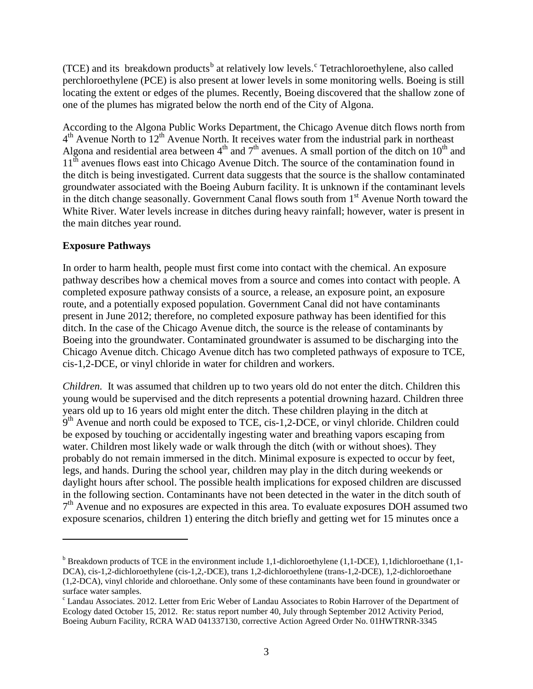(TCE) and its [b](#page-2-0)reakdown produ[c](#page-3-0)ts<sup>b</sup> at relatively low levels.<sup>c</sup> Tetrachloroethylene, also called perchloroethylene (PCE) is also present at lower levels in some monitoring wells. Boeing is still locating the extent or edges of the plumes. Recently, Boeing discovered that the shallow zone of one of the plumes has migrated below the north end of the City of Algona.

According to the Algona Public Works Department, the Chicago Avenue ditch flows north from  $4<sup>th</sup>$  Avenue North to  $12<sup>th</sup>$  Avenue North. It receives water from the industrial park in northeast Algona and residential area between  $4<sup>th</sup>$  and  $7<sup>th</sup>$  avenues. A small portion of the ditch on  $10<sup>th</sup>$  and 11<sup>th</sup> avenues flows east into Chicago Avenue Ditch. The source of the contamination found in the ditch is being investigated. Current data suggests that the source is the shallow contaminated groundwater associated with the Boeing Auburn facility. It is unknown if the contaminant levels in the ditch change seasonally. Government Canal flows south from  $1<sup>st</sup>$  Avenue North toward the White River. Water levels increase in ditches during heavy rainfall; however, water is present in the main ditches year round.

#### **Exposure Pathways**

 $\overline{a}$ 

In order to harm health, people must first come into contact with the chemical. An exposure pathway describes how a chemical moves from a source and comes into contact with people. A completed exposure pathway consists of a source, a release, an exposure point, an exposure route, and a potentially exposed population. Government Canal did not have contaminants present in June 2012; therefore, no completed exposure pathway has been identified for this ditch. In the case of the Chicago Avenue ditch, the source is the release of contaminants by Boeing into the groundwater. Contaminated groundwater is assumed to be discharging into the Chicago Avenue ditch. Chicago Avenue ditch has two completed pathways of exposure to TCE, cis-1,2-DCE, or vinyl chloride in water for children and workers.

*Children.* It was assumed that children up to two years old do not enter the ditch. Children this young would be supervised and the ditch represents a potential drowning hazard. Children three years old up to 16 years old might enter the ditch. These children playing in the ditch at  $9<sup>th</sup>$  Avenue and north could be exposed to TCE, cis-1,2-DCE, or vinyl chloride. Children could be exposed by touching or accidentally ingesting water and breathing vapors escaping from water. Children most likely wade or walk through the ditch (with or without shoes). They probably do not remain immersed in the ditch. Minimal exposure is expected to occur by feet, legs, and hands. During the school year, children may play in the ditch during weekends or daylight hours after school. The possible health implications for exposed children are discussed in the following section. Contaminants have not been detected in the water in the ditch south of  $7<sup>th</sup>$  Avenue and no exposures are expected in this area. To evaluate exposures DOH assumed two exposure scenarios, children 1) entering the ditch briefly and getting wet for 15 minutes once a

<sup>&</sup>lt;sup>b</sup> Breakdown products of TCE in the environment include 1,1-dichloroethylene (1,1-DCE), 1,1dichloroethane (1,1-DCA), cis-1,2-dichloroethylene (cis-1,2,-DCE), trans 1,2-dichloroethylene (trans-1,2-DCE), 1,2-dichloroethane (1,2-DCA), vinyl chloride and chloroethane. Only some of these contaminants have been found in groundwater or surface water samples.<br><sup>c</sup> Landau Associates. 2012. Letter from Eric Weber of Landau Associates to Robin Harrover of the Department of

<span id="page-3-1"></span><span id="page-3-0"></span>Ecology dated October 15, 2012. Re: status report number 40, July through September 2012 Activity Period, Boeing Auburn Facility, RCRA WAD 041337130, corrective Action Agreed Order No. 01HWTRNR-3345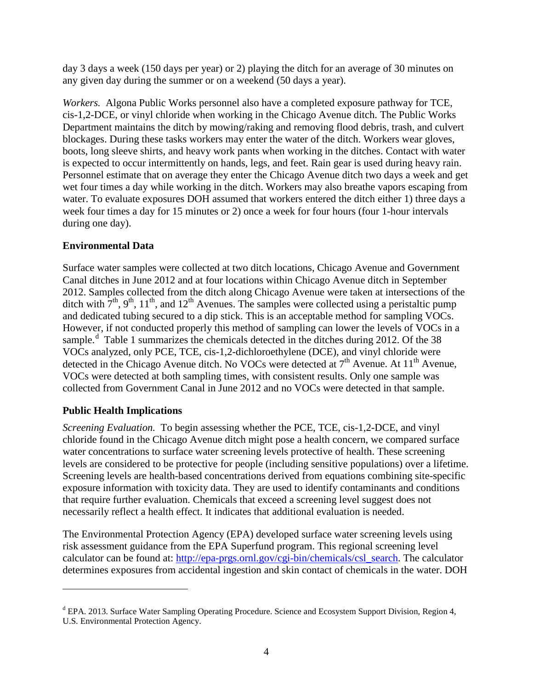day 3 days a week (150 days per year) or 2) playing the ditch for an average of 30 minutes on any given day during the summer or on a weekend (50 days a year).

*Workers.* Algona Public Works personnel also have a completed exposure pathway for TCE, cis-1,2-DCE, or vinyl chloride when working in the Chicago Avenue ditch. The Public Works Department maintains the ditch by mowing/raking and removing flood debris, trash, and culvert blockages. During these tasks workers may enter the water of the ditch. Workers wear gloves, boots, long sleeve shirts, and heavy work pants when working in the ditches. Contact with water is expected to occur intermittently on hands, legs, and feet. Rain gear is used during heavy rain. Personnel estimate that on average they enter the Chicago Avenue ditch two days a week and get wet four times a day while working in the ditch. Workers may also breathe vapors escaping from water. To evaluate exposures DOH assumed that workers entered the ditch either 1) three days a week four times a day for 15 minutes or 2) once a week for four hours (four 1-hour intervals during one day).

### **Environmental Data**

Surface water samples were collected at two ditch locations, Chicago Avenue and Government Canal ditches in June 2012 and at four locations within Chicago Avenue ditch in September 2012. Samples collected from the ditch along Chicago Avenue were taken at intersections of the ditch with  $7<sup>th</sup>$ ,  $9<sup>th</sup>$ ,  $11<sup>th</sup>$ , and  $12<sup>th</sup>$  Avenues. The samples were collected using a peristaltic pump and dedicated tubing secured to a dip stick. This is an acceptable method for sampling VOCs. However, if not conducted properly this method of sampling can lower the levels of VOCs in a sample.<sup>[d](#page-3-1)</sup> Table 1 summarizes the chemicals detected in the ditches during 2012. Of the 38 VOCs analyzed, only PCE, TCE, cis-1,2-dichloroethylene (DCE), and vinyl chloride were detected in the Chicago Avenue ditch. No VOCs were detected at  $7<sup>th</sup>$  Avenue. At 11<sup>th</sup> Avenue, VOCs were detected at both sampling times, with consistent results. Only one sample was collected from Government Canal in June 2012 and no VOCs were detected in that sample.

### **Public Health Implications**

 $\overline{a}$ 

*Screening Evaluation.* To begin assessing whether the PCE, TCE, cis-1,2-DCE, and vinyl chloride found in the Chicago Avenue ditch might pose a health concern, we compared surface water concentrations to surface water screening levels protective of health. These screening levels are considered to be protective for people (including sensitive populations) over a lifetime. Screening levels are health-based concentrations derived from equations combining site-specific exposure information with toxicity data. They are used to identify contaminants and conditions that require further evaluation. Chemicals that exceed a screening level suggest does not necessarily reflect a health effect. It indicates that additional evaluation is needed.

The Environmental Protection Agency (EPA) developed surface water screening levels using risk assessment guidance from the EPA Superfund program. This regional screening level calculator can be found at: [http://epa-prgs.ornl.gov/cgi-bin/chemicals/csl\\_search.](http://epa-prgs.ornl.gov/cgi-bin/chemicals/csl_search) The calculator determines exposures from accidental ingestion and skin contact of chemicals in the water. DOH

<sup>&</sup>lt;sup>d</sup> EPA. 2013. Surface Water Sampling Operating Procedure. Science and Ecosystem Support Division, Region 4, U.S. Environmental Protection Agency.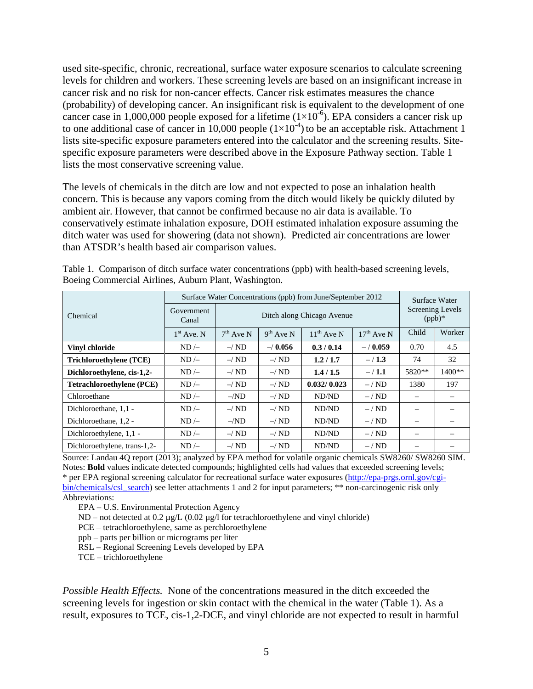used site-specific, chronic, recreational, surface water exposure scenarios to calculate screening levels for children and workers. These screening levels are based on an insignificant increase in cancer risk and no risk for non-cancer effects. Cancer risk estimates measures the chance (probability) of developing cancer. An insignificant risk is equivalent to the development of one cancer case in 1,000,000 people exposed for a lifetime  $(1\times10^{-6})$ . EPA considers a cancer risk up to one additional case of cancer in 10,000 people  $(1\times10^{-4})$  to be an acceptable risk. Attachment 1 lists site-specific exposure parameters entered into the calculator and the screening results. Sitespecific exposure parameters were described above in the Exposure Pathway section. Table 1 lists the most conservative screening value.

The levels of chemicals in the ditch are low and not expected to pose an inhalation health concern. This is because any vapors coming from the ditch would likely be quickly diluted by ambient air. However, that cannot be confirmed because no air data is available. To conservatively estimate inhalation exposure, DOH estimated inhalation exposure assuming the ditch water was used for showering (data not shown). Predicted air concentrations are lower than ATSDR's health based air comparison values.

|                                  | Surface Water Concentrations (ppb) from June/September 2012 | Surface Water |                                       |                          |              |        |                 |  |  |
|----------------------------------|-------------------------------------------------------------|---------------|---------------------------------------|--------------------------|--------------|--------|-----------------|--|--|
| Chemical                         | Government<br>Canal                                         |               | Screening Levels<br>$(ppb)*$          |                          |              |        |                 |  |  |
|                                  | $1st$ Ave. N                                                | $7th$ Ave N   | 9 <sup>th</sup> Ave N                 | $11^{th}$ Ave N          | $17th$ Ave N | Child  | Worker          |  |  |
| <b>Vinyl chloride</b>            | $ND$ /-                                                     | $-\sqrt{ND}$  | 0.3/0.14<br>$-/-0.056$<br>$- / 0.059$ |                          |              |        |                 |  |  |
| Trichloroethylene (TCE)          | $ND$ /-                                                     | $-\sqrt{ND}$  | $-\sqrt{ND}$                          | 1.2/1.7                  | $-/1.3$      | 74     | 32              |  |  |
| Dichloroethylene, cis-1,2-       | $ND$ /-                                                     | $-\sqrt{ND}$  | $-\sqrt{ND}$                          | 1.4/1.5                  | $- / 1.1$    | 5820** | $1400**$        |  |  |
| <b>Tetrachloroethylene (PCE)</b> | $ND$ /-                                                     | $-\sqrt{ND}$  | $-\sqrt{ND}$                          | 0.032/0.023              | $-$ /ND      | 1380   | 197             |  |  |
| Chloroethane                     | $ND$ /-                                                     | $-ND$         | $-\sqrt{ND}$                          | ND/ND                    | $-$ /ND      |        | $\qquad \qquad$ |  |  |
| Dichloroethane, 1,1 -            | $ND$ /-                                                     | $-\sqrt{ND}$  | $-\sqrt{ND}$                          | ND/ND                    | $-$ / ND     |        |                 |  |  |
| Dichloroethane, 1,2 -            | $ND$ /-                                                     | $-ND$         | $-\!/$ ND                             | ND/ND                    | $-$ / ND     |        |                 |  |  |
| Dichloroethylene, 1,1 -          | $ND$ /-                                                     | $-\sqrt{ND}$  | $\overline{\phantom{m}}$              | $\overline{\phantom{0}}$ |              |        |                 |  |  |
| Dichloroethylene, trans-1,2-     | $ND$ /-                                                     | $-\sqrt{ND}$  | $-\sqrt{ND}$                          | ND/ND                    | $-$ / ND     |        |                 |  |  |

Table 1. Comparison of ditch surface water concentrations (ppb) with health-based screening levels, Boeing Commercial Airlines, Auburn Plant, Washington.

Source: Landau 4Q report (2013); analyzed by EPA method for volatile organic chemicals SW8260/ SW8260 SIM. Notes: **Bold** values indicate detected compounds; highlighted cells had values that exceeded screening levels; \* per EPA regional screening calculator for recreational surface water exposures [\(http://epa-prgs.ornl.gov/cgi](http://epa-prgs.ornl.gov/cgi-bin/chemicals/csl_search)[bin/chemicals/csl\\_search\)](http://epa-prgs.ornl.gov/cgi-bin/chemicals/csl_search) see letter attachments 1 and 2 for input parameters; \*\* non-carcinogenic risk only Abbreviations:

EPA – U.S. Environmental Protection Agency

ND – not detected at  $0.2 \mu g/L$  ( $0.02 \mu g/l$  for tetrachloroethylene and vinyl chloride)

PCE – tetrachloroethylene, same as perchloroethylene

- ppb parts per billion or micrograms per liter
- RSL Regional Screening Levels developed by EPA

TCE – trichloroethylene

*Possible Health Effects.* None of the concentrations measured in the ditch exceeded the screening levels for ingestion or skin contact with the chemical in the water (Table 1). As a result, exposures to TCE, cis-1,2-DCE, and vinyl chloride are not expected to result in harmful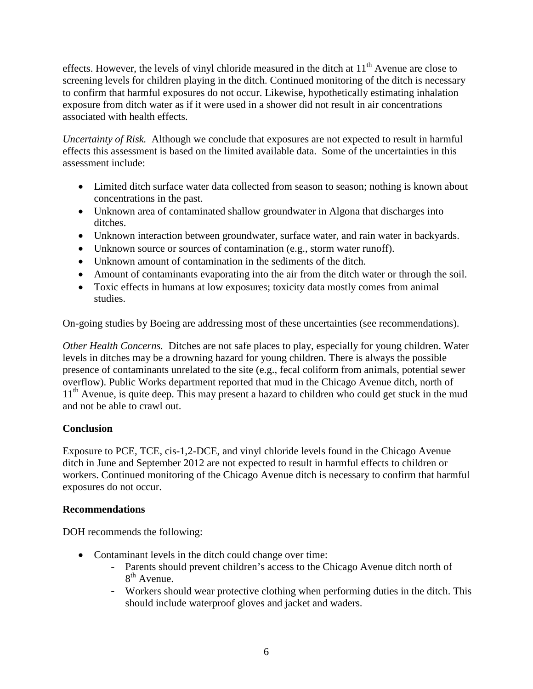effects. However, the levels of vinyl chloride measured in the ditch at  $11<sup>th</sup>$  Avenue are close to screening levels for children playing in the ditch. Continued monitoring of the ditch is necessary to confirm that harmful exposures do not occur. Likewise, hypothetically estimating inhalation exposure from ditch water as if it were used in a shower did not result in air concentrations associated with health effects.

*Uncertainty of Risk.* Although we conclude that exposures are not expected to result in harmful effects this assessment is based on the limited available data. Some of the uncertainties in this assessment include:

- Limited ditch surface water data collected from season to season; nothing is known about concentrations in the past.
- Unknown area of contaminated shallow groundwater in Algona that discharges into ditches.
- Unknown interaction between groundwater, surface water, and rain water in backyards.
- Unknown source or sources of contamination (e.g., storm water runoff).
- Unknown amount of contamination in the sediments of the ditch.
- Amount of contaminants evaporating into the air from the ditch water or through the soil.
- Toxic effects in humans at low exposures; toxicity data mostly comes from animal studies.

On-going studies by Boeing are addressing most of these uncertainties (see recommendations).

*Other Health Concerns.* Ditches are not safe places to play, especially for young children. Water levels in ditches may be a drowning hazard for young children. There is always the possible presence of contaminants unrelated to the site (e.g., fecal coliform from animals, potential sewer overflow). Public Works department reported that mud in the Chicago Avenue ditch, north of 11<sup>th</sup> Avenue, is quite deep. This may present a hazard to children who could get stuck in the mud and not be able to crawl out.

### **Conclusion**

Exposure to PCE, TCE, cis-1,2-DCE, and vinyl chloride levels found in the Chicago Avenue ditch in June and September 2012 are not expected to result in harmful effects to children or workers. Continued monitoring of the Chicago Avenue ditch is necessary to confirm that harmful exposures do not occur.

### **Recommendations**

DOH recommends the following:

- Contaminant levels in the ditch could change over time:
	- Parents should prevent children's access to the Chicago Avenue ditch north of 8<sup>th</sup> Avenue.
	- Workers should wear protective clothing when performing duties in the ditch. This should include waterproof gloves and jacket and waders.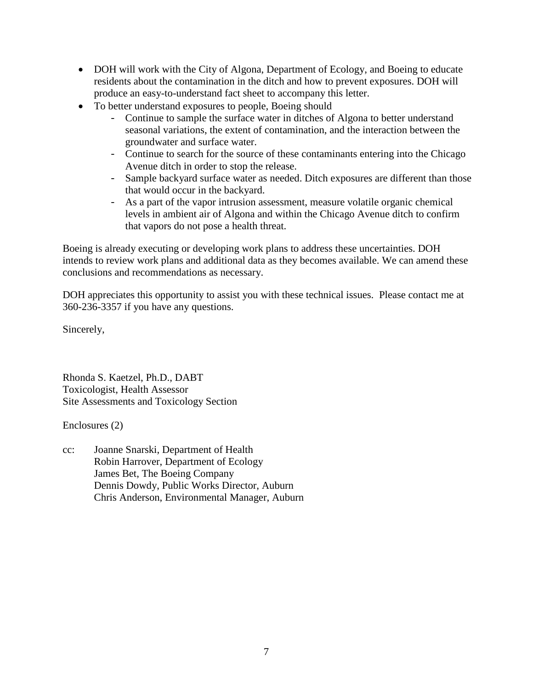- DOH will work with the City of Algona, Department of Ecology, and Boeing to educate residents about the contamination in the ditch and how to prevent exposures. DOH will produce an easy-to-understand fact sheet to accompany this letter.
- To better understand exposures to people, Boeing should
	- Continue to sample the surface water in ditches of Algona to better understand seasonal variations, the extent of contamination, and the interaction between the groundwater and surface water.
	- Continue to search for the source of these contaminants entering into the Chicago Avenue ditch in order to stop the release.
	- Sample backyard surface water as needed. Ditch exposures are different than those that would occur in the backyard.
	- As a part of the vapor intrusion assessment, measure volatile organic chemical levels in ambient air of Algona and within the Chicago Avenue ditch to confirm that vapors do not pose a health threat.

Boeing is already executing or developing work plans to address these uncertainties. DOH intends to review work plans and additional data as they becomes available. We can amend these conclusions and recommendations as necessary.

DOH appreciates this opportunity to assist you with these technical issues. Please contact me at 360-236-3357 if you have any questions.

Sincerely,

Rhonda S. Kaetzel, Ph.D., DABT Toxicologist, Health Assessor Site Assessments and Toxicology Section

Enclosures (2)

cc: Joanne Snarski, Department of Health Robin Harrover, Department of Ecology James Bet, The Boeing Company Dennis Dowdy, Public Works Director, Auburn Chris Anderson, Environmental Manager, Auburn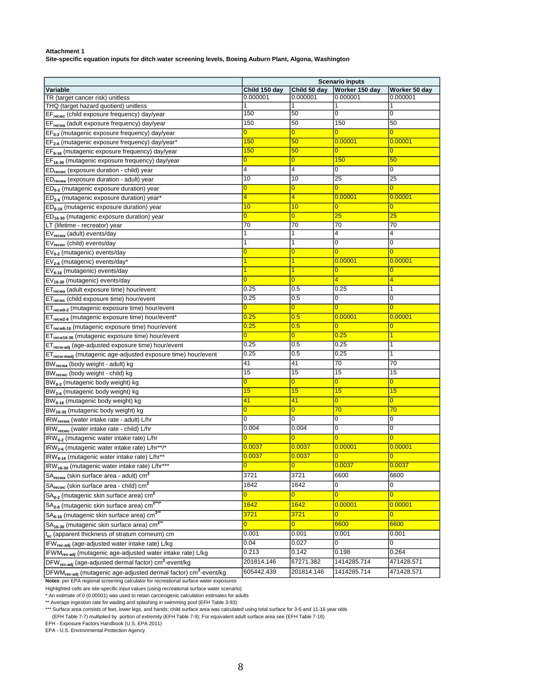**Site-specific equation inputs for ditch water screening levels, Boeing Auburn Plant, Algona, Washington**

| Variable                                                                                                                           | Child 150 day           | Child 50 day            | <b>Scenario inputs</b><br>Worker 150 day | Worker 50 day           |
|------------------------------------------------------------------------------------------------------------------------------------|-------------------------|-------------------------|------------------------------------------|-------------------------|
| TR (target cancer risk) unitless                                                                                                   | 0.000001                | 0.000001                | 0.000001                                 | 0.000001                |
| THQ (target hazard quotient) unitless                                                                                              |                         |                         |                                          |                         |
| EF <sub>recwc</sub> (child exposure frequency) day/year                                                                            | 150                     | 50                      | 0                                        | 0                       |
| EF <sub>recwa</sub> (adult exposure frequency) day/year                                                                            | 150                     | 50                      | 150                                      | 50                      |
| EF <sub>0-2</sub> (mutagenic exposure frequency) day/year                                                                          | $\overline{0}$          | $\overline{0}$          | $\overline{0}$                           | $\overline{0}$          |
| EF <sub>2-6</sub> (mutagenic exposure frequency) day/year*                                                                         | 150                     | 50                      | 0.00001                                  | 0.00001                 |
| EF <sub>6-16</sub> (mutagenic exposure frequency) day/year                                                                         | 150                     | 50                      | $\overline{0}$                           | 0                       |
| $EF_{16-30}$ (mutagenic exposure frequency) day/year                                                                               | 0                       | 0                       | 150                                      | 50                      |
| ED <sub>recwc</sub> (exposure duration - child) year                                                                               | 4                       | 4                       | 0                                        | 0                       |
| ED <sub>recwa</sub> (exposure duration - adult) year                                                                               | 10                      | 10                      | 25                                       | 25                      |
| $ED_{0-2}$ (mutagenic exposure duration) year                                                                                      | 0                       | 0                       | $\overline{0}$                           | $\overline{0}$          |
| ED <sub>2-6</sub> (mutagenic exposure duration) year*                                                                              | 4                       | 4                       | 0.00001                                  | 0.00001                 |
| $ED_{6-16}$ (mutagenic exposure duration) year                                                                                     | 10                      | 10                      | $\bf{0}$                                 | 0                       |
| ED <sub>16-30</sub> (mutagenic exposure duration) year                                                                             | $\overline{0}$          | $\overline{0}$          | $\overline{25}$                          | 25                      |
| LT (lifetime - recreator) year                                                                                                     | 70                      | 70                      | 70                                       | 70                      |
| $EV_{\text{recwa}}$ (adult) events/day                                                                                             | 1                       | 1                       | $\overline{4}$                           | 4                       |
| EV <sub>recwc</sub> (child) events/day                                                                                             |                         | 1                       | 0                                        | 0                       |
| $EV_{0-2}$ (mutagenic) events/day                                                                                                  | 0                       | 0                       | 0                                        | $\overline{0}$          |
| $EV_{2-6}$ (mutagenic) events/day*                                                                                                 |                         |                         | 0.00001                                  | 0.00001                 |
| $EV_{6-16}$ (mutagenic) events/day                                                                                                 |                         | 1                       | $\overline{0}$                           | 0                       |
| EV <sub>16-30</sub> (mutagenic) events/day                                                                                         | 0                       | 0                       | 4                                        | 4                       |
| ET <sub>recwa</sub> (adult exposure time) hour/event                                                                               | 0.25                    | 0.5                     | 0.25                                     | 1                       |
| ET <sub>recwc</sub> (child exposure time) hour/event                                                                               | 0.25                    | 0.5                     | 0                                        | $\overline{0}$          |
| ET <sub>recw0-2</sub> (mutagenic exposure time) hour/event                                                                         | 0                       | $\overline{0}$          | $\overline{0}$                           | $\overline{0}$          |
| ET <sub>recw2-6</sub> (mutagenic exposure time) hour/event*                                                                        | 0.25                    | 0.5                     | 0.00001                                  | 0.00001                 |
| ET <sub>recw6-16</sub> (mutagenic exposure time) hour/event                                                                        | 0.25                    | 0.5                     | $\overline{0}$                           | $\overline{0}$          |
| ET <sub>recw16-30</sub> (mutagenic exposure time) hour/event                                                                       | 0                       | $\overline{0}$          | 0.25                                     | 1                       |
| ET <sub>recw-adi</sub> (age-adjusted exposure time) hour/event                                                                     | 0.25                    | 0.5                     | 0.25                                     | 1                       |
| ET <sub>recw-madj</sub> (mutagenic age-adjusted exposure time) hour/event                                                          | 0.25                    | 0.5                     | 0.25                                     | 1                       |
| BW <sub>recwa</sub> (body weight - adult) kg                                                                                       | 41                      | 41                      | 70                                       | 70                      |
| BW <sub>recwc</sub> (body weight - child) kg                                                                                       | 15                      | 15                      | 15                                       | 15                      |
| $BW0-2$ (mutagenic body weight) kg                                                                                                 | 0                       | 0                       | $\overline{0}$                           | $\overline{0}$          |
| BW <sub>2-6</sub> (mutagenic body weight) kg                                                                                       | 15                      | 15                      | 15                                       | 15                      |
| BW <sub>6-16</sub> (mutagenic body weight) kg                                                                                      | 41                      | 41                      | $\overline{0}$                           | $\overline{0}$          |
| BW <sub>16-30</sub> (mutagenic body weight) kg                                                                                     | 0                       | 0                       | 70                                       | 70                      |
| IRW <sub>recwa</sub> (water intake rate - adult) L/hr                                                                              | 0                       | 0                       | 0                                        | 0                       |
| IRW <sub>recwc</sub> (water intake rate - child) L/hr                                                                              | 0.004                   | 0.004                   | $\mathbf 0$                              | $\mathbf 0$             |
| IRW <sub>0-2</sub> (mutagenic water intake rate) L/hr                                                                              | 0                       | $\overline{0}$          | $\overline{0}$                           | $\overline{0}$          |
| IRW <sub>2-6</sub> (mutagenic water intake rate) L/hr**/*                                                                          | <u>0.0037</u>           | 0.0037                  | 0.00001                                  | 0.00001                 |
|                                                                                                                                    | 0.0037                  | 0.0037                  | $\overline{0}$                           | $\overline{\mathbf{0}}$ |
| IRW <sub>6-16</sub> (mutagenic water intake rate) L/hr <sup>**</sup><br>IRW <sub>16-30</sub> (mutagenic water intake rate) L/hr*** |                         | $\overline{0}$          | 0.0037                                   | 0.0037                  |
|                                                                                                                                    | <u>u </u><br>3721       | 3721                    | 6600                                     | 6600                    |
| SA <sub>recwa</sub> (skin surface area - adult) cm <sup>2</sup>                                                                    | 1642                    | 1642                    |                                          | 0                       |
| SA <sub>recwc</sub> (skin surface area - child) cm <sup>2</sup>                                                                    |                         |                         | 0                                        |                         |
| $SA0-2$ (mutagenic skin surface area) cm <sup>2</sup>                                                                              | $\overline{\mathbf{0}}$ | $\overline{\mathbf{0}}$ | $\overline{0}$                           | $\overline{0}$          |
| SA <sub>2-6</sub> (mutagenic skin surface area) cm <sup>2**/*</sup>                                                                | 1642                    | 1642                    | 0.00001                                  | 0.00001                 |
| SA <sub>6-16</sub> (mutagenic skin surface area) cm <sup>2**</sup>                                                                 | 3721                    | 3721                    | $\overline{0}$                           | $\overline{0}$          |
| SA <sub>16-30</sub> (mutagenic skin surface area) cm <sup>2**</sup>                                                                | $\overline{0}$          | $\overline{0}$          | 6600                                     | 6600                    |
| I <sub>sc</sub> (apparent thickness of stratum corneum) cm                                                                         | 0.001                   | 0.001                   | 0.001                                    | 0.001                   |
| IFW <sub>rec-adj</sub> (age-adjusted water intake rate) L/kg                                                                       | 0.04                    | 0.027                   | 0                                        | $\overline{0}$          |
| IFWM <sub>rec-adj</sub> (mutagenic age-adjusted water intake rate) L/kg                                                            | 0.213                   | 0.142                   | 0.198                                    | 0.264                   |
| DFW <sub>rec-adi</sub> (age-adjusted dermal factor) cm <sup>2</sup> -event/kg                                                      | 201814.146              | 67271.382               | 1414285.714                              | 471428.571              |
| DFWM <sub>rec-adj</sub> (mutagenic age-adjusted dermal factor) cm <sup>2</sup> -event/kg                                           | 605442.439              | 201814.146              | 1414285.714                              | 471428.571              |

**Notes**: per EPA regional screening calculator for recreational surface water exposures

Highlighted cells are site-specific input values (using recreational surface water scenario) \* An estimate of 0 (0.00001) was used to retain carcinogenic calculation estimates for adults

\*\* Average ingestion rate for wading and splashing in swimming pool (EFH Table 3-93)

\*\*\* Surface area consists of feet, lower legs, and hands; child surface area was calculated using total surface for 3-6 and 11-16 year olds

(EFH Table 7-7) multiplied by portion of extremity (EFH Table 7-9); For equivalent adult surface area see (EFH Table 7-16)

EFH - Exposure Factors Handbook (U.S. EPA 2011) EPA - U.S. Environmental Protection Agency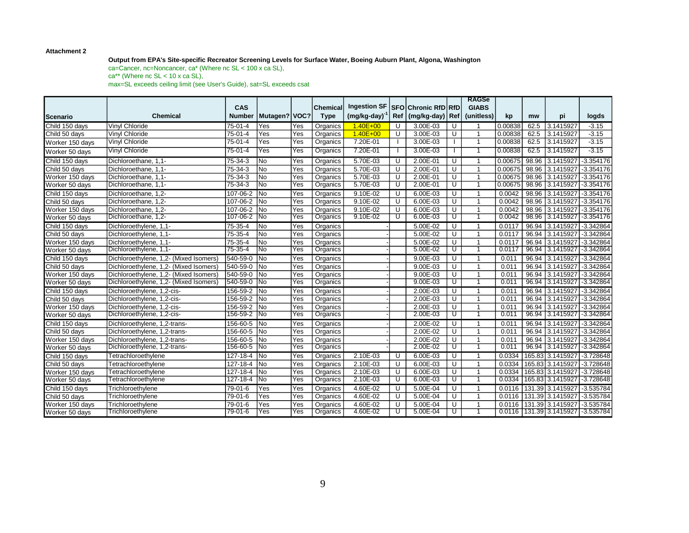#### **Output from EPA's Site-specific Recreator Screening Levels for Surface Water, Boeing Auburn Plant, Algona, Washington**

ca=Cancer, nc=Noncancer, ca\* (Where nc SL < 100 x ca SL),  $ca^{**}$  (Where nc SL < 10 x ca SL), max=SL exceeds ceiling limit (see User's Guide), sat=SL exceeds csat

|                 |                                        |                |                          |     |                 |                     |     |                            |                         | <b>RAGSe</b>   |         |       |                                         |                |
|-----------------|----------------------------------------|----------------|--------------------------|-----|-----------------|---------------------|-----|----------------------------|-------------------------|----------------|---------|-------|-----------------------------------------|----------------|
|                 |                                        | CAS            |                          |     | <b>Chemical</b> | <b>Ingestion SF</b> |     | <b>SFO Chronic RfD RfD</b> |                         | <b>GIABS</b>   |         |       |                                         |                |
| <b>Scenario</b> | <b>Chemical</b>                        | <b>Number</b>  | Mutagen?   VOC?          |     | <b>Type</b>     | (mg/kg-day)         | Ref | (mg/kg-day) Ref            |                         | (unitless)     | kp      | mw    | рi                                      | logds          |
| Child 150 days  | <b>Vinyl Chloride</b>                  | $75 - 01 - 4$  | Yes                      | Yes | Organics        | $1.40E + 00$        | U   | 3.00E-03                   | U                       |                | 0.00838 | 62.5  | 3.1415927                               | $-3.15$        |
| Child 50 days   | <b>Vinvl Chloride</b>                  | 75-01-4        | Yes                      | Yes | Organics        | $1.40E + 00$        | U   | 3.00E-03                   | U                       | $\mathbf{1}$   | 0.00838 | 62.5  | 3.1415927                               | $-3.15$        |
| Worker 150 days | Vinyl Chloride                         | 75-01-4        | Yes                      | Yes | Organics        | 7.20E-01            |     | 3.00E-03                   |                         | $\mathbf{1}$   | 0.00838 | 62.5  | 3.1415927                               | $-3.15$        |
| Worker 50 days  | <b>Vinyl Chloride</b>                  | $75-01-4$      | Yes                      | Yes | Organics        | 7.20E-01            |     | 3.00E-03                   |                         | $\mathbf 1$    | 0.00838 | 62.5  | 3.1415927                               | $-3.15$        |
| Child 150 days  | Dichloroethane, 1,1-                   | 75-34-3        | No                       | Yes | Organics        | 5.70E-03            | U   | 2.00E-01                   | U                       | 1              | 0.00675 |       | 98.96 3.1415927                         | $-3.354176$    |
| Child 50 days   | Dichloroethane, 1,1-                   | 75-34-3        | No                       | Yes | Organics        | 5.70E-03            | U   | $2.00E - 01$               | U                       | $\mathbf{1}$   | 0.00675 | 98.96 | 3.1415927                               | $-3.354176$    |
| Worker 150 days | Dichloroethane, 1,1-                   | 75-34-3        | No                       | Yes | Organics        | 5.70E-03            | U   | 2.00E-01                   | U                       | $\mathbf{1}$   | 0.00675 |       | 98.96 3.1415927 - 3.354176              |                |
| Worker 50 days  | Dichloroethane, 1,1-                   | $75 - 34 - 3$  | <b>No</b>                | Yes | Organics        | $5.70E-03$          | ण   | 2.00E-01                   | $\overline{\mathsf{U}}$ | 1              | 0.00675 |       | 98.96 3.1415927 - 3.354176              |                |
| Child 150 days  | Dichloroethane, 1,2-                   | 107-06-2       | N <sub>o</sub>           | Yes | Organics        | $9.10E - 02$        | U   | 6.00E-03                   | $\overline{\mathsf{U}}$ | $\mathbf{1}$   | 0.0042  |       | 98.96 3.1415927                         | $-3.354176$    |
| Child 50 days   | Dichloroethane, 1,2-                   | 107-06-2       | No                       | Yes | Organics        | 9.10E-02            | U   | 6.00E-03                   | U                       | $\mathbf{1}$   | 0.0042  |       | 98.96 3.1415927 - 3.354176              |                |
| Worker 150 days | Dichloroethane, 1,2-                   | 107-06-2       | <b>No</b>                | Yes | Organics        | 9.10E-02            | U   | 6.00E-03                   | U                       | $\mathbf{1}$   | 0.0042  |       | 98.96 3.1415927                         | $1 - 3.354176$ |
| Worker 50 days  | Dichloroethane, 1,2-                   | 107-06-2 No    |                          | Yes | Organics        | $9.10E - 02$        | U   | 6.00E-03                   | U                       | 1              | 0.0042  |       | 98.96 3.1415927                         | $-3.354176$    |
| Child 150 days  | Dichloroethylene, 1,1-                 | 75-35-4        | N <sub>o</sub>           | Yes | Organics        |                     |     | 5.00E-02                   | U                       | $\mathbf 1$    | 0.0117  |       | 96.94 3.1415927                         | $-3.342864$    |
| Child 50 days   | Dichloroethylene, 1,1-                 | 75-35-4        | No                       | Yes | Organics        |                     |     | 5.00E-02                   | U                       | $\mathbf{1}$   | 0.0117  |       | 96.94 3.1415927                         | -3.342864      |
| Worker 150 days | Dichloroethylene, 1,1-                 | 75-35-4        | <b>No</b>                | Yes | Organics        |                     |     | 5.00E-02                   | U                       | 1              | 0.0117  |       | 96.94 3.1415927 - 3.342864              |                |
| Worker 50 days  | Dichloroethylene, 1,1-                 | $75 - 35 - 4$  | <b>No</b>                | Yes | Organics        |                     |     | $5.00E - 02$               | U                       | $\mathbf{1}$   | 0.0117  |       | 96.94 3.1415927 - 3.342864              |                |
| Child 150 days  | Dichloroethylene, 1,2- (Mixed Isomers) | 540-59-0       | <b>No</b>                | Yes | Organics        |                     |     | 9.00E-03                   | U                       | $\mathbf{1}$   | 0.011   |       | 96.94 3.1415927                         | $-3.342864$    |
| Child 50 days   | Dichloroethylene, 1,2- (Mixed Isomers) | 540-59-0       | <b>INo</b>               | Yes | Organics        |                     |     | $9.00E - 03$               | U                       | $\mathbf{1}$   | 0.011   |       | 96.94 3.1415927 - 3.342864              |                |
| Worker 150 days | Dichloroethylene, 1,2- (Mixed Isomers) | 540-59-0       | No                       | Yes | Organics        |                     |     | 9.00E-03                   | U                       | $\mathbf{1}$   | 0.011   |       | 96.94 3.1415927                         | $-3.342864$    |
| Worker 50 days  | Dichloroethylene, 1,2- (Mixed Isomers) | 540-59-0       | <b>No</b>                | Yes | Organics        |                     |     | 9.00E-03                   | U                       | 1              | 0.011   |       | 96.94 3.1415927                         | $-3.342864$    |
| Child 150 days  | Dichloroethylene, 1,2-cis-             | 156-59-2       | $\overline{\mathsf{No}}$ | Yes | Organics        |                     |     | 2.00E-03                   | U                       | 1              | 0.011   |       | 96.94 3.1415927 -3.342864               |                |
| Child 50 days   | Dichloroethylene, 1,2-cis-             | 156-59-2       | $\overline{\mathsf{No}}$ | Yes | Organics        |                     |     | 2.00E-03                   | U                       | $\mathbf{1}$   | 0.011   |       | 96.94 3.1415927 - 3.342864              |                |
| Worker 150 days | Dichloroethylene, 1,2-cis-             | 156-59-2       | <b>No</b>                | Yes | Organics        |                     |     | 2.00E-03                   | U                       | $\mathbf{1}$   | 0.011   |       | 96.94 3.1415927 - 3.342864              |                |
| Worker 50 days  | Dichloroethylene, 1,2-cis-             | 156-59-2 No    |                          | Yes | Organics        |                     |     | 2.00E-03                   | ᠊ण                      | $\overline{1}$ | 0.011   |       | 96.94 3.1415927 - 3.342864              |                |
| Child 150 days  | Dichloroethylene, 1,2-trans-           | 156-60-5 No    |                          | Yes | Organics        |                     |     | $2.00E - 02$               | U                       | 1              | 0.011   |       | 96.94 3.1415927                         | $-3.342864$    |
| Child 50 days   | Dichloroethylene, 1,2-trans-           | 156-60-5       | No                       | Yes | Organics        |                     |     | 2.00E-02                   | U                       | $\mathbf{1}$   | 0.011   |       | 96.94 3.1415927 - 3.342864              |                |
| Worker 150 days | Dichloroethylene, 1,2-trans-           | 156-60-5       | N <sub>o</sub>           | Yes | Organics        |                     |     | 2.00E-02                   | U                       | $\mathbf{1}$   | 0.011   |       | 96.94 3.1415927 - 3.342864              |                |
| Worker 50 days  | Dichloroethylene, 1,2-trans-           | 156-60-5 No    |                          | Yes | Organics        |                     |     | 2.00E-02                   | $\overline{\mathsf{U}}$ | 1              | 0.011   |       | 96.94 3.1415927 - 3.342864              |                |
| Child 150 days  | Tetrachloroethylene                    | $127 - 18 - 4$ | N <sub>o</sub>           | Yes | Organics        | $2.10E - 03$        | U   | $6.00E - 03$               | $\overline{U}$          | $\mathbf{1}$   | 0.0334  |       | 165.83 3.1415927 - 3.728648             |                |
| Child 50 days   | Tetrachloroethylene                    | 127-18-4       | No                       | Yes | Organics        | 2.10E-03            | U   | 6.00E-03                   | U                       | 1              | 0.0334  |       | 165.83 3.1415927 - 3.728648             |                |
| Worker 150 days | Tetrachloroethylene                    | 127-18-4       | <b>INo</b>               | Yes | Organics        | 2.10E-03            | U   | 6.00E-03                   | U                       | 1              | 0.0334  |       | 165.83 3.1415927                        | $-3.728648$    |
| Worker 50 days  | Tetrachloroethylene                    | $127 - 18 - 4$ | $\overline{\mathsf{No}}$ | Yes | Organics        | $2.10E - 03$        | ∪   | $6.00E - 03$               | ᠊ᡨ                      | 1              | 0.0334  |       | 165.83 3.1415927                        | $-3.728648$    |
| Child 150 days  | Trichloroethylene                      | 79-01-6        | Yes                      | Yes | Organics        | 4.60E-02            | U   | $5.00E - 04$               | U                       | 1              | 0.0116  |       | 131.39 3.1415927                        | $-3.535784$    |
| Child 50 days   | Trichloroethylene                      | 79-01-6        | Yes                      | Yes | Organics        | 4.60E-02            | U   | 5.00E-04                   | U                       | $\mathbf{1}$   | 0.0116  |       | 131.39 3.1415927                        | $-3.535784$    |
| Worker 150 days | Trichloroethylene                      | 79-01-6        | Yes                      | Yes | Organics        | 4.60E-02            | U   | 5.00E-04                   | U                       | 1              | 0.0116  |       | 131.39 3.1415927                        | $-3.535784$    |
| Worker 50 days  | Trichloroethylene                      | $79 - 01 - 6$  | Yes                      | Yes | Organics        | 4.60E-02            | ∪   | $5.00E - 04$               | ᠊ᡨ                      | 1              |         |       | 0.0116   131.39   3.1415927   -3.535784 |                |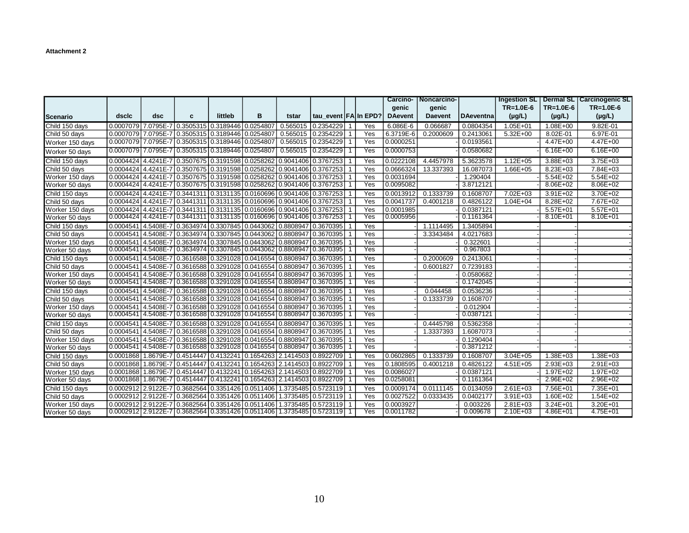|                   |       |     |                                                   |         |                                                                                      |                    |                                                                                                      |            |                | Carcino-   Noncarcino- |                  |                 |              | Ingestion SL   Dermal SL   Carcinogenic SL |
|-------------------|-------|-----|---------------------------------------------------|---------|--------------------------------------------------------------------------------------|--------------------|------------------------------------------------------------------------------------------------------|------------|----------------|------------------------|------------------|-----------------|--------------|--------------------------------------------|
|                   |       |     |                                                   |         |                                                                                      |                    |                                                                                                      |            | genic          | genic                  |                  | $TR = 1.0E - 6$ | $TR=1.0E-6$  | $TR = 1.0E - 6$                            |
| <b>I</b> Scenario | dsclc | dsc | c                                                 | littleb | в                                                                                    | tstar              | tau event FA In EPD?                                                                                 |            | <b>DAevent</b> | <b>Daevent</b>         | <b>DAeventna</b> | $(\mu g/L)$     | $(\mu g/L)$  | $(\mu g/L)$                                |
| Child 150 days    |       |     | 0.0007079 7.0795E-7 0.3505315 0.3189446 0.0254807 |         |                                                                                      |                    | 0.565015 0.2354229                                                                                   | Yes        | $6.086E - 6$   | 0.066687               | 0.0804354        | $1.05E + 01$    | $1.08E + 00$ | $9.82E - 01$                               |
| Child 50 days     |       |     | 0.0007079 7.0795E-7 0.3505315 0.3189446 0.0254807 |         |                                                                                      | 0.565015 0.2354229 |                                                                                                      | Yes        | 6.3719E-6      | 0.2000609              | 0.2413061        | $5.32E + 00$    | 8.02E-01     | 6.97E-01                                   |
| Worker 150 days   |       |     | 0.0007079 7.0795E-7 0.3505315 0.3189446 0.0254807 |         |                                                                                      | 0.565015 0.2354229 |                                                                                                      | Yes        | 0.0000251      |                        | 0.0193561        |                 | 4.47E+00     | $4.47E + 00$                               |
| Worker 50 days    |       |     | 0.0007079 7.0795E-7 0.3505315 0.3189446 0.0254807 |         |                                                                                      |                    | $0.565015$ 0.2354229                                                                                 | Yes        | 0.0000753      |                        | 0.0580682        |                 | $6.16E + 00$ | $6.16E + 00$                               |
| Child 150 days    |       |     |                                                   |         | 0.0004424 4.4241E-7 0.3507675 0.3191598 0.0258262 0.9041406 0.3767253                |                    |                                                                                                      | Yes        | 0.0222108      | 4.4457978              | 5.3623578        | $1.12E + 05$    | $3.88E + 03$ | $3.75E + 03$                               |
| Child 50 days     |       |     |                                                   |         | 0.0004424 4.4241E-7 0.3507675 0.3191598 0.0258262 0.9041406 0.3767253                |                    |                                                                                                      | Yes        | 0.0666324      | 13.337393              | 16.087073        | 1.66E+05        | 8.23E+03     | 7.84E+03                                   |
| Worker 150 days   |       |     |                                                   |         | $0.0004424$ 4.4241E-7 $0.3507675$ 0.3191598 0.0258262 0.9041406 0.3767253            |                    |                                                                                                      | Yes        | 0.0031694      |                        | 1.290404         |                 | 5.54E+02     | $5.54E+02$                                 |
| Worker 50 days    |       |     |                                                   |         |                                                                                      |                    | $0.0004424$   $4.4241$ E-7   $0.3507675$   $0.3191598$   $0.0258262$   $0.9041406$   $0.3767253$   1 | <b>Yes</b> | 0.0095082      |                        | 3.8712121        |                 | $8.06E + 02$ | $8.06E + 02$                               |
| Child 150 days    |       |     |                                                   |         | $0.0004424$ $4.4241$ E-7 $0.3441311$ $0.3131135$ $0.0160696$ $0.9041406$ $0.3767253$ |                    |                                                                                                      | Yes        | 0.0013912      | 0.1333739              | 0.1608707        | 7.02E+03        | 3.91E+02     | 3.70E+02                                   |
| Child 50 days     |       |     |                                                   |         | $0.0004424$ 4.4241E-7 $0.3441311$ $0.3131135$ $0.0160696$ $0.9041406$ $0.3767253$    |                    |                                                                                                      | Yes        | 0.0041737      | 0.4001218              | 0.4826122        | $1.04E + 04$    | 8.28E+02     | 7.67E+02                                   |
| Worker 150 days   |       |     |                                                   |         | $0.0004424$ $4.4241$ E-7 $0.3441311$ $0.3131135$ $0.0160696$ $0.9041406$ $0.3767253$ |                    |                                                                                                      | Yes        | 0.0001985      |                        | 0.0387121        |                 | $5.57E + 01$ | 5.57E+01                                   |
| Worker 50 days    |       |     |                                                   |         | $0.0004424$   4.4241E-7   0.3441311   0.3131135   0.0160696   0.9041406   0.3767253  |                    |                                                                                                      | Yes        | 0.0005956      |                        | 0.1161364        |                 | 8.10E+01     | $8.10E + 01$                               |
| Child 150 days    |       |     |                                                   |         | $0.0004541$ $4.5408$ E-7 $0.3634974$ $0.3307845$ $0.0443062$ $0.8808947$ $0.3670395$ |                    |                                                                                                      | Yes        |                | 1.1114495              | 1.3405894        |                 |              |                                            |
| Child 50 days     |       |     |                                                   |         | 0.0004541 4.5408E-7 0.3634974 0.3307845 0.0443062 0.8808947 0.3670395                |                    |                                                                                                      | Yes        |                | 3.3343484              | 4.0217683        |                 |              |                                            |
| Worker 150 days   |       |     |                                                   |         | $0.0004541$ $4.5408$ E-7 $0.3634974$ $0.3307845$ $0.0443062$ $0.8808947$ $0.3670395$ |                    |                                                                                                      | Yes        |                |                        | 0.322601         |                 |              |                                            |
| Worker 50 days    |       |     |                                                   |         | 0.0004541 4.5408E-7 0.3634974 0.3307845 0.0443062 0.8808947 0.3670395                |                    |                                                                                                      | <b>Yes</b> |                |                        | 0.967803         |                 |              |                                            |
| Child 150 days    |       |     |                                                   |         |                                                                                      |                    | $0.0004541$ 4.5408E-7 $0.3616588$ $0.3291028$ $0.0416554$ $0.8808947$ $0.3670395$                    | Yes        |                | 0.2000609              | 0.2413061        |                 |              |                                            |
| Child 50 days     |       |     |                                                   |         | $0.0004541$ $4.5408$ E-7 $0.3616588$ $0.3291028$ $0.0416554$ $0.8808947$ $0.3670395$ |                    |                                                                                                      | Yes        |                | 0.6001827              | 0.7239183        |                 |              |                                            |
| Worker 150 days   |       |     |                                                   |         | $0.0004541$ $4.5408$ E-7 $0.3616588$ $0.3291028$ $0.0416554$ $0.8808947$ $0.3670395$ |                    |                                                                                                      | Yes        |                |                        | 0.0580682        |                 |              |                                            |
| Worker 50 days    |       |     |                                                   |         |                                                                                      |                    | $0.0004541$   4.5408E-7   0.3616588   0.3291028   0.0416554   0.8808947   0.3670395                  | Yes        |                |                        | 0.1742045        |                 |              |                                            |
| Child 150 days    |       |     |                                                   |         |                                                                                      |                    | $0.0004541$ $4.5408$ E-7 $0.3616588$ $0.3291028$ $0.0416554$ $0.8808947$ $0.3670395$                 | Yes        |                | 0.044458               | 0.0536236        |                 |              |                                            |
| Child 50 days     |       |     |                                                   |         | $0.0004541$ $4.5408$ E-7 $0.3616588$ $0.3291028$ $0.0416554$ $0.8808947$ $0.3670395$ |                    |                                                                                                      | Yes        |                | 0.1333739              | 0.1608707        |                 |              |                                            |
| Worker 150 days   |       |     |                                                   |         | $0.0004541$ $4.5408$ E-7 $0.3616588$ $0.3291028$ $0.0416554$ $0.8808947$ $0.3670395$ |                    |                                                                                                      | Yes        |                |                        | 0.012904         |                 |              |                                            |
| Worker 50 days    |       |     |                                                   |         |                                                                                      |                    | $0.0004541$ $4.5408$ E-7 $0.3616588$ $0.3291028$ $0.0416554$ $0.8808947$ $0.3670395$                 | <b>Yes</b> |                |                        | 0.0387121        |                 |              |                                            |
| Child 150 days    |       |     |                                                   |         | 0.0004541 4.5408E-7 0.3616588 0.3291028 0.0416554 0.8808947 0.3670395                |                    |                                                                                                      | Yes        |                | 0.4445798              | 0.5362358        |                 |              |                                            |
| Child 50 days     |       |     |                                                   |         | $0.0004541$ 4.5408E-7 $0.3616588$ $0.3291028$ $0.0416554$ $0.8808947$ $0.3670395$    |                    |                                                                                                      | Yes        |                | 1.3337393              | 1.6087073        |                 |              |                                            |
| Worker 150 days   |       |     |                                                   |         | $0.0004541$ $4.5408$ E-7 $0.3616588$ $0.3291028$ $0.0416554$ $0.8808947$ $0.3670395$ |                    |                                                                                                      | Yes        |                |                        | 0.1290404        |                 |              |                                            |
| Worker 50 days    |       |     |                                                   |         |                                                                                      |                    | $0.0004541$   4.5408E-7   0.3616588   0.3291028   0.0416554   0.8808947   0.3670395                  | Yes        |                |                        | 0.3871212        |                 |              |                                            |
| Child 150 days    |       |     |                                                   |         |                                                                                      |                    | 0.0001868 1.8679E-7 0.4514447 0.4132241 0.1654263 2.1414503 0.8922709                                | Yes        | 0.0602865      | 0.1333739              | 0.1608707        | $3.04E + 05$    | 1.38E+03     | $1.38E + 03$                               |
| Child 50 days     |       |     |                                                   |         | $0.0001868$ 1.8679E-7 $0.4514447$ $0.4132241$ $0.1654263$ $2.1414503$ $0.8922709$    |                    |                                                                                                      | Yes        | 0.1808595      | 0.4001218              | 0.4826122        | 4.51E+05        | 2.93E+03     | 2.91E+03                                   |
| Worker 150 days   |       |     |                                                   |         | 0.0001868 1.8679E-7 0.4514447 0.4132241 0.1654263 2.1414503 0.8922709                |                    |                                                                                                      | Yes        | 0.0086027      |                        | 0.0387121        |                 | 1.97E+02     | 1.97E+02                                   |
| Worker 50 days    |       |     |                                                   |         |                                                                                      |                    | $0.0001868$ 1.8679E-7 0.4514447 0.4132241 0.1654263 2.1414503 0.8922709                              | <b>Yes</b> | 0.0258081      |                        | 0.1161364        |                 | $2.96E + 02$ | $2.96E + 02$                               |
| Child 150 days    |       |     |                                                   |         |                                                                                      |                    | $0.0002912$   2.9122E-7   0.3682564   0.3351426   0.0511406   1.3735485   0.5723119                  | Yes        | 0.0009174      | 0.0111145              | 0.0134059        | $2.61E + 03$    | 7.56E+01     | $7.35E + 01$                               |
| Child 50 days     |       |     |                                                   |         | 0.0002912 2.9122E-7 0.3682564 0.3351426 0.0511406 1.3735485 0.5723119                |                    |                                                                                                      | Yes        | 0.0027522      | 0.0333435              | 0.0402177        | 3.91E+03        | 1.60E+02     | 1.54E+02                                   |
| Worker 150 days   |       |     |                                                   |         | $0.0002912$   2.9122E-7   0.3682564   0.3351426   0.0511406   1.3735485   0.5723119  |                    |                                                                                                      | Yes        | 0.0003927      |                        | 0.003226         | $2.81E + 03$    | 3.24E+01     | 3.20E+01                                   |
| Worker 50 days    |       |     |                                                   |         |                                                                                      |                    | $0.0002912$   2.9122E-7   0.3682564   0.3351426   0.0511406   1.3735485   0.5723119                  | Yes        | 0.0011782      |                        | 0.009678         | $2.10E + 03$    | $4.86E + 01$ | $4.75E + 01$                               |